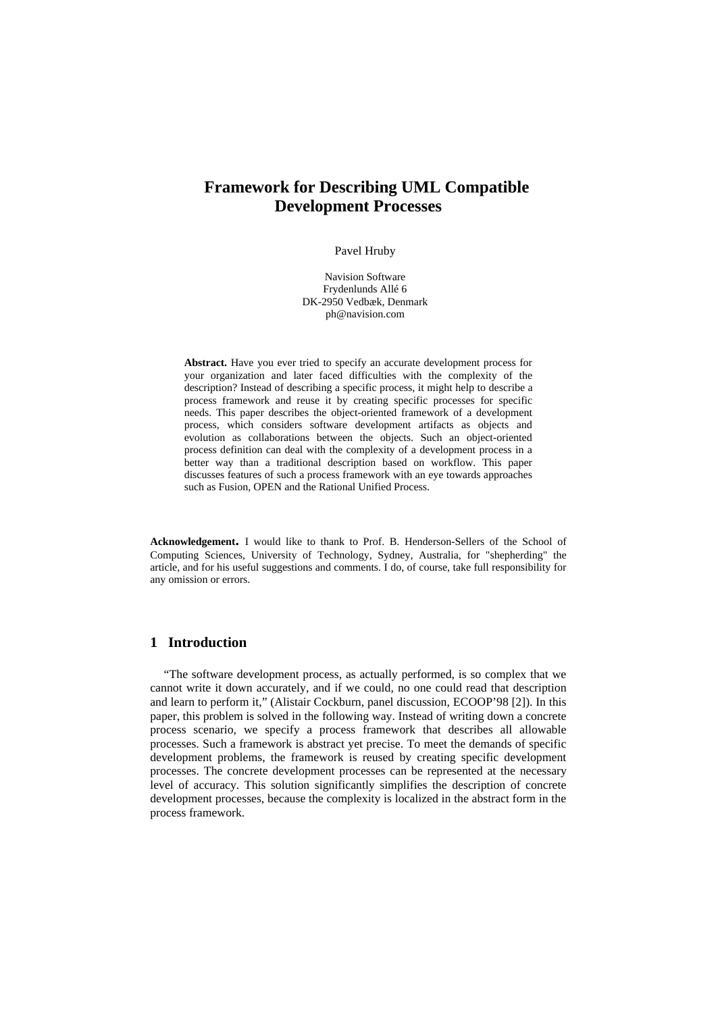# **Framework for Describing UML Compatible Development Processes**

Pavel Hruby

Navision Software Frydenlunds Allé 6 DK-2950 Vedbæk, Denmark ph@navision.com

**Abstract.** Have you ever tried to specify an accurate development process for your organization and later faced difficulties with the complexity of the description? Instead of describing a specific process, it might help to describe a process framework and reuse it by creating specific processes for specific needs. This paper describes the object-oriented framework of a development process, which considers software development artifacts as objects and evolution as collaborations between the objects. Such an object-oriented process definition can deal with the complexity of a development process in a better way than a traditional description based on workflow. This paper discusses features of such a process framework with an eye towards approaches such as Fusion, OPEN and the Rational Unified Process.

**Acknowledgement.** I would like to thank to Prof. B. Henderson-Sellers of the School of Computing Sciences, University of Technology, Sydney, Australia, for "shepherding" the article, and for his useful suggestions and comments. I do, of course, take full responsibility for any omission or errors.

# **1 Introduction**

"The software development process, as actually performed, is so complex that we cannot write it down accurately, and if we could, no one could read that description and learn to perform it," (Alistair Cockburn, panel discussion, ECOOP'98 [2]). In this paper, this problem is solved in the following way. Instead of writing down a concrete process scenario, we specify a process framework that describes all allowable processes. Such a framework is abstract yet precise. To meet the demands of specific development problems, the framework is reused by creating specific development processes. The concrete development processes can be represented at the necessary level of accuracy. This solution significantly simplifies the description of concrete development processes, because the complexity is localized in the abstract form in the process framework.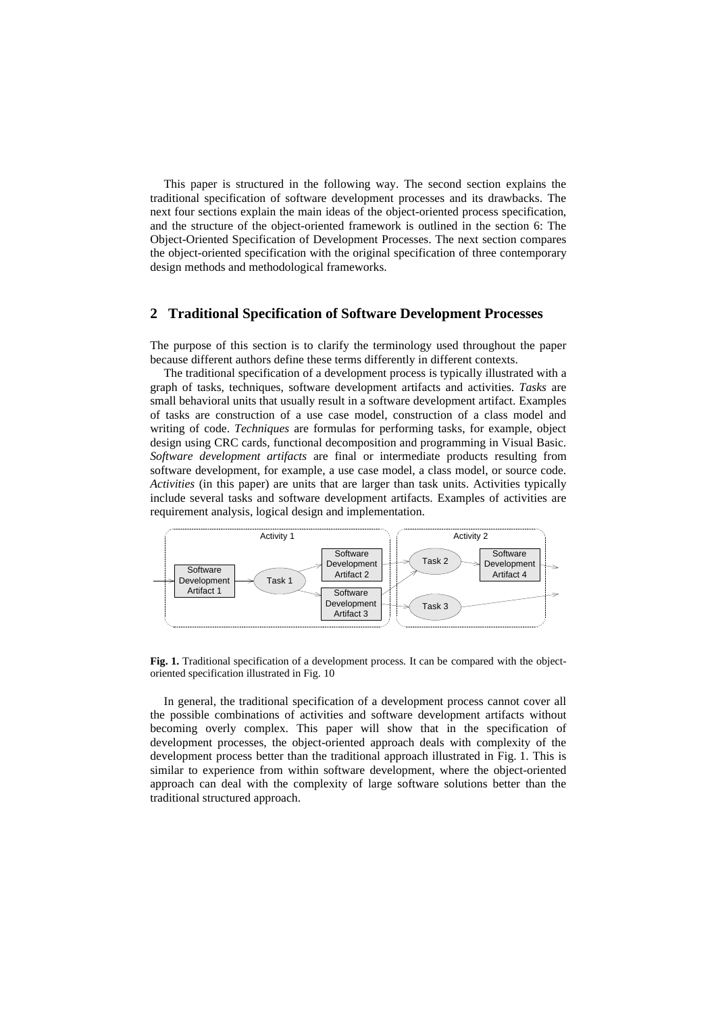This paper is structured in the following way. The second section explains the traditional specification of software development processes and its drawbacks. The next four sections explain the main ideas of the object-oriented process specification, and the structure of the object-oriented framework is outlined in the section 6: The Object-Oriented Specification of Development Processes. The next section compares the object-oriented specification with the original specification of three contemporary design methods and methodological frameworks.

### **2 Traditional Specification of Software Development Processes**

The purpose of this section is to clarify the terminology used throughout the paper because different authors define these terms differently in different contexts.

The traditional specification of a development process is typically illustrated with a graph of tasks, techniques, software development artifacts and activities. *Tasks* are small behavioral units that usually result in a software development artifact. Examples of tasks are construction of a use case model, construction of a class model and writing of code. *Techniques* are formulas for performing tasks, for example, object design using CRC cards, functional decomposition and programming in Visual Basic. *Software development artifacts* are final or intermediate products resulting from software development, for example, a use case model, a class model, or source code. *Activities* (in this paper) are units that are larger than task units. Activities typically include several tasks and software development artifacts. Examples of activities are requirement analysis, logical design and implementation.



**Fig. 1.** Traditional specification of a development process. It can be compared with the objectoriented specification illustrated in Fig. 10

In general, the traditional specification of a development process cannot cover all the possible combinations of activities and software development artifacts without becoming overly complex. This paper will show that in the specification of development processes, the object-oriented approach deals with complexity of the development process better than the traditional approach illustrated in Fig. 1. This is similar to experience from within software development, where the object-oriented approach can deal with the complexity of large software solutions better than the traditional structured approach.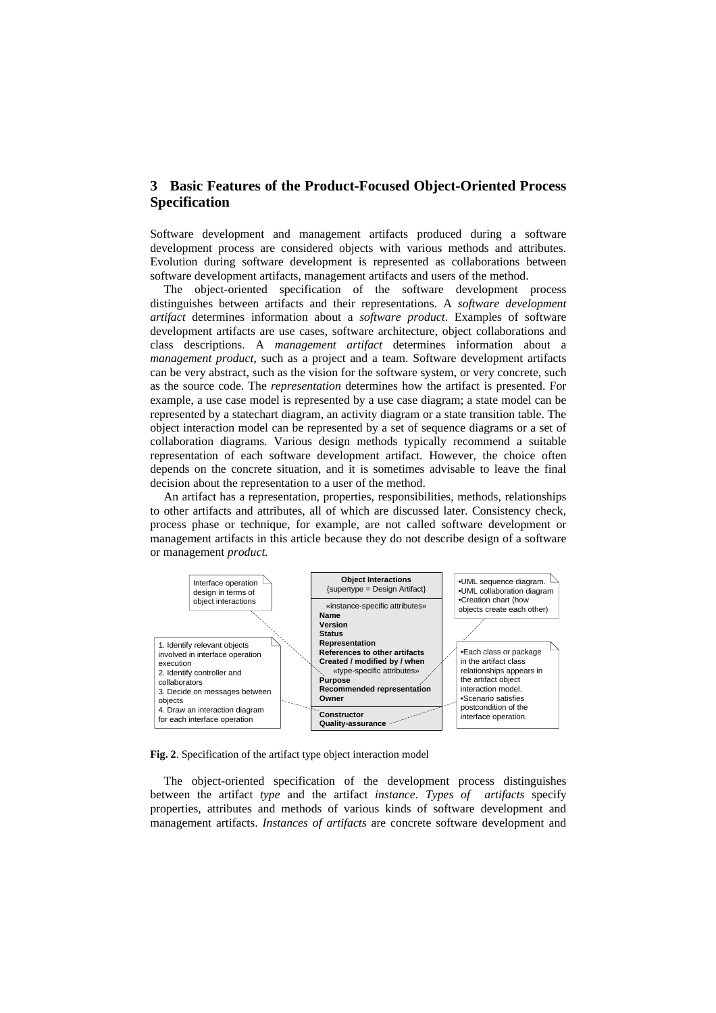# **3 Basic Features of the Product-Focused Object-Oriented Process Specification**

Software development and management artifacts produced during a software development process are considered objects with various methods and attributes. Evolution during software development is represented as collaborations between software development artifacts, management artifacts and users of the method.

The object-oriented specification of the software development process distinguishes between artifacts and their representations. A *software development artifact* determines information about a *software product*. Examples of software development artifacts are use cases, software architecture, object collaborations and class descriptions. A *management artifact* determines information about a *management product*, such as a project and a team. Software development artifacts can be very abstract, such as the vision for the software system, or very concrete, such as the source code. The *representation* determines how the artifact is presented. For example, a use case model is represented by a use case diagram; a state model can be represented by a statechart diagram, an activity diagram or a state transition table. The object interaction model can be represented by a set of sequence diagrams or a set of collaboration diagrams. Various design methods typically recommend a suitable representation of each software development artifact. However, the choice often depends on the concrete situation, and it is sometimes advisable to leave the final decision about the representation to a user of the method.

An artifact has a representation, properties, responsibilities, methods, relationships to other artifacts and attributes, all of which are discussed later. Consistency check, process phase or technique, for example, are not called software development or management artifacts in this article because they do not describe design of a software or management *product.*



**Fig. 2**. Specification of the artifact type object interaction model

The object-oriented specification of the development process distinguishes between the artifact *type* and the artifact *instance*. *Types of artifacts* specify properties, attributes and methods of various kinds of software development and management artifacts. *Instances of artifacts* are concrete software development and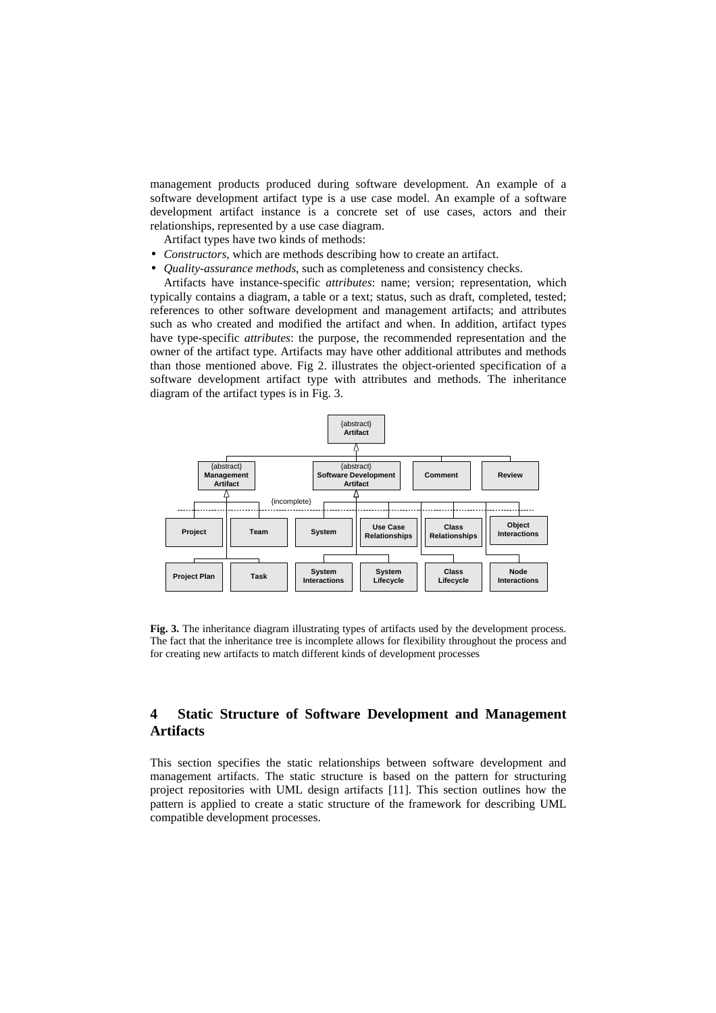management products produced during software development. An example of a software development artifact type is a use case model. An example of a software development artifact instance is a concrete set of use cases, actors and their relationships, represented by a use case diagram.

Artifact types have two kinds of methods:

- *Constructors*, which are methods describing how to create an artifact.
- *Quality-assurance methods*, such as completeness and consistency checks.

Artifacts have instance-specific *attributes*: name; version; representation, which typically contains a diagram, a table or a text; status, such as draft, completed, tested; references to other software development and management artifacts; and attributes such as who created and modified the artifact and when. In addition, artifact types have type-specific *attributes*: the purpose, the recommended representation and the owner of the artifact type. Artifacts may have other additional attributes and methods than those mentioned above. Fig 2. illustrates the object-oriented specification of a software development artifact type with attributes and methods. The inheritance diagram of the artifact types is in Fig. 3.



**Fig. 3.** The inheritance diagram illustrating types of artifacts used by the development process. The fact that the inheritance tree is incomplete allows for flexibility throughout the process and for creating new artifacts to match different kinds of development processes

# **4 Static Structure of Software Development and Management Artifacts**

This section specifies the static relationships between software development and management artifacts. The static structure is based on the pattern for structuring project repositories with UML design artifacts [11]. This section outlines how the pattern is applied to create a static structure of the framework for describing UML compatible development processes.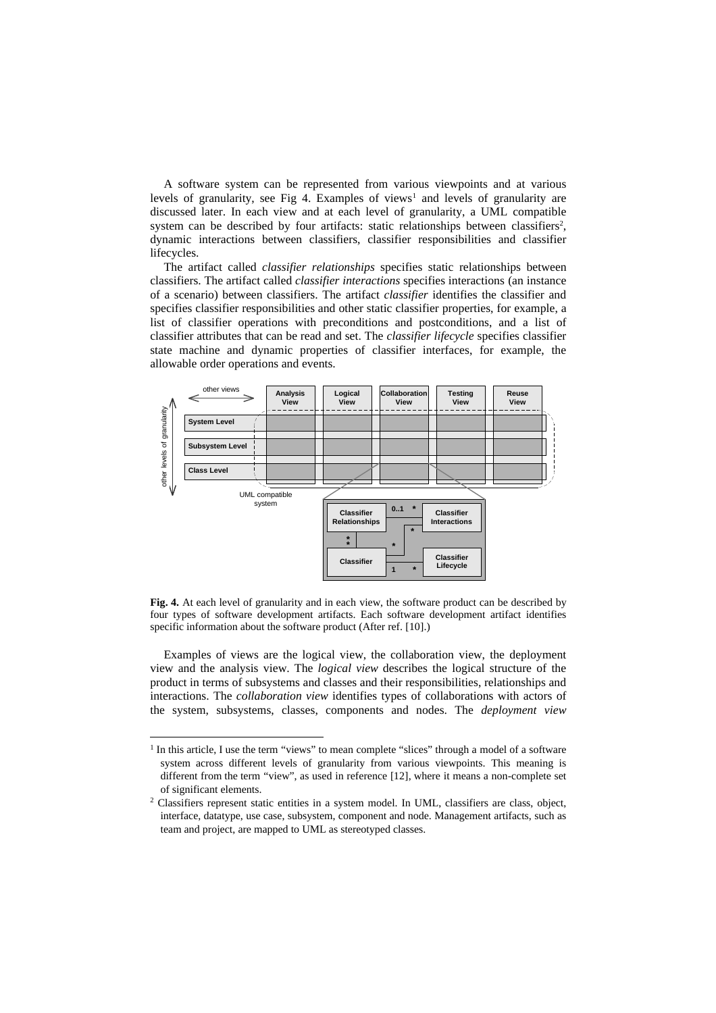A software system can be represented from various viewpoints and at various levels of granularity, see Fig 4. Examples of views<sup>1</sup> and levels of granularity are discussed later. In each view and at each level of granularity, a UML compatible system can be described by four artifacts: static relationships between classifiers<sup>2</sup>, dynamic interactions between classifiers, classifier responsibilities and classifier lifecycles.

The artifact called *classifier relationships* specifies static relationships between classifiers. The artifact called *classifier interactions* specifies interactions (an instance of a scenario) between classifiers. The artifact *classifier* identifies the classifier and specifies classifier responsibilities and other static classifier properties, for example, a list of classifier operations with preconditions and postconditions, and a list of classifier attributes that can be read and set. The *classifier lifecycle* specifies classifier state machine and dynamic properties of classifier interfaces, for example, the allowable order operations and events.



**Fig. 4.** At each level of granularity and in each view, the software product can be described by four types of software development artifacts. Each software development artifact identifies specific information about the software product (After ref. [10].)

Examples of views are the logical view, the collaboration view, the deployment view and the analysis view. The *logical view* describes the logical structure of the product in terms of subsystems and classes and their responsibilities, relationships and interactions. The *collaboration view* identifies types of collaborations with actors of the system, subsystems, classes, components and nodes. The *deployment view*

l

<sup>&</sup>lt;sup>1</sup> In this article, I use the term "views" to mean complete "slices" through a model of a software system across different levels of granularity from various viewpoints. This meaning is different from the term "view", as used in reference [12], where it means a non-complete set of significant elements.

<sup>&</sup>lt;sup>2</sup> Classifiers represent static entities in a system model. In UML, classifiers are class, object, interface, datatype, use case, subsystem, component and node. Management artifacts, such as team and project, are mapped to UML as stereotyped classes.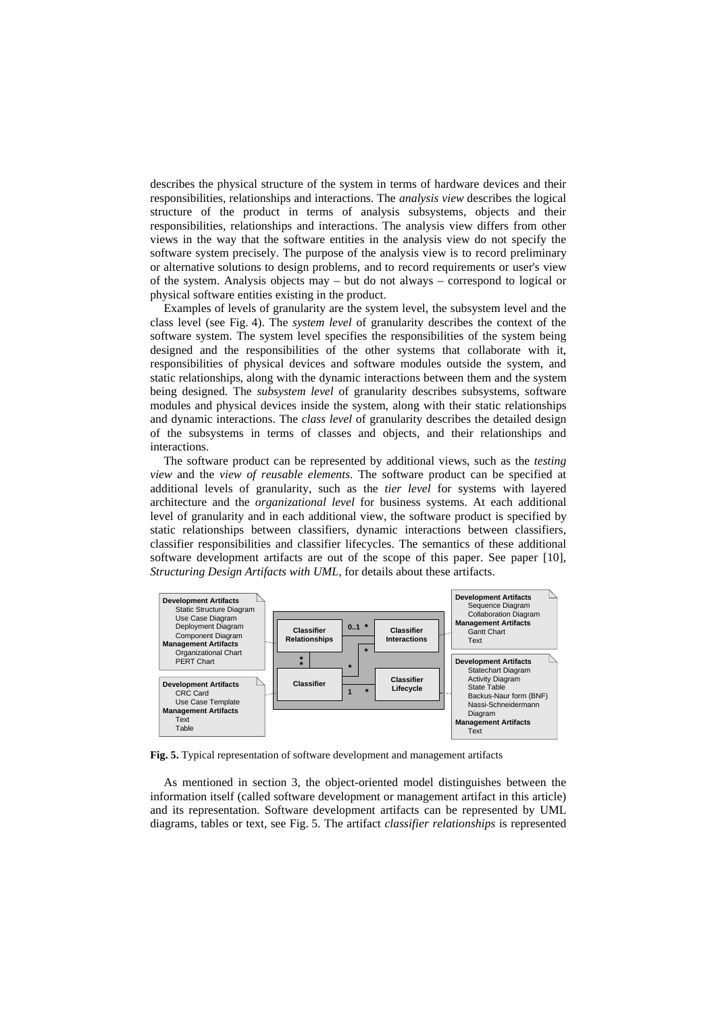describes the physical structure of the system in terms of hardware devices and their responsibilities, relationships and interactions. The *analysis view* describes the logical structure of the product in terms of analysis subsystems, objects and their responsibilities, relationships and interactions. The analysis view differs from other views in the way that the software entities in the analysis view do not specify the software system precisely. The purpose of the analysis view is to record preliminary or alternative solutions to design problems, and to record requirements or user's view of the system. Analysis objects may – but do not always – correspond to logical or physical software entities existing in the product.

Examples of levels of granularity are the system level, the subsystem level and the class level (see Fig. 4). The *system level* of granularity describes the context of the software system. The system level specifies the responsibilities of the system being designed and the responsibilities of the other systems that collaborate with it, responsibilities of physical devices and software modules outside the system, and static relationships, along with the dynamic interactions between them and the system being designed. The *subsystem level* of granularity describes subsystems, software modules and physical devices inside the system, along with their static relationships and dynamic interactions. The *class level* of granularity describes the detailed design of the subsystems in terms of classes and objects, and their relationships and interactions.

The software product can be represented by additional views, such as the *testing view* and the *view of reusable elements*. The software product can be specified at additional levels of granularity, such as the *tier level* for systems with layered architecture and the *organizational level* for business systems. At each additional level of granularity and in each additional view, the software product is specified by static relationships between classifiers, dynamic interactions between classifiers, classifier responsibilities and classifier lifecycles. The semantics of these additional software development artifacts are out of the scope of this paper. See paper [10], *Structuring Design Artifacts with UML,* for details about these artifacts.



**Fig. 5.** Typical representation of software development and management artifacts

As mentioned in section 3, the object-oriented model distinguishes between the information itself (called software development or management artifact in this article) and its representation. Software development artifacts can be represented by UML diagrams, tables or text, see Fig. 5. The artifact *classifier relationships* is represented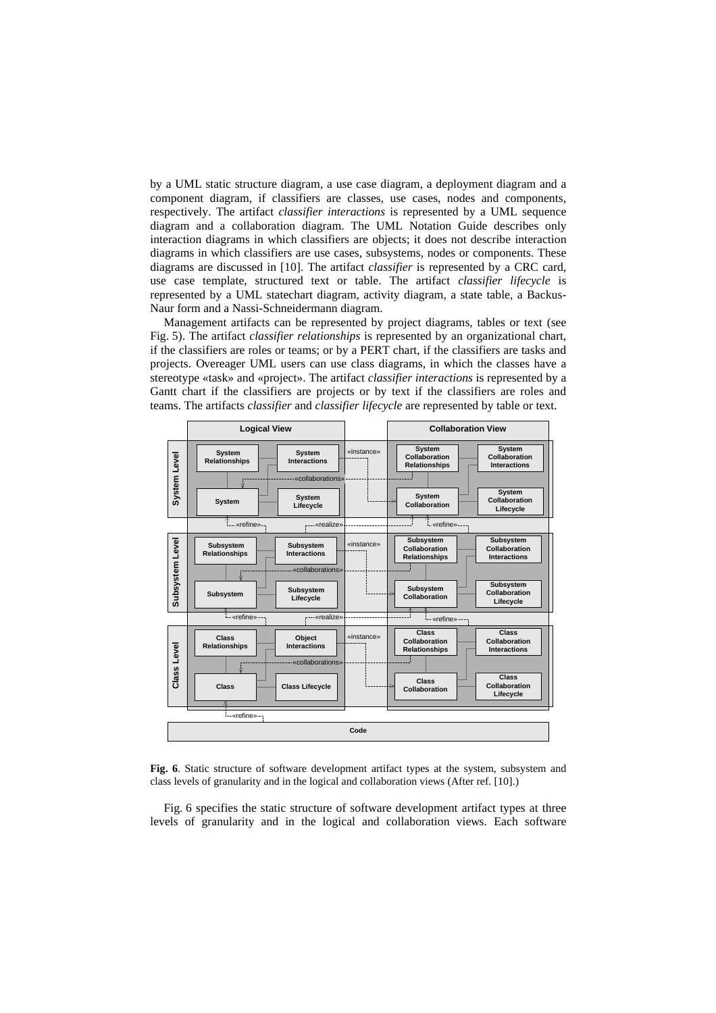by a UML static structure diagram, a use case diagram, a deployment diagram and a component diagram, if classifiers are classes, use cases, nodes and components, respectively. The artifact *classifier interactions* is represented by a UML sequence diagram and a collaboration diagram. The UML Notation Guide describes only interaction diagrams in which classifiers are objects; it does not describe interaction diagrams in which classifiers are use cases, subsystems, nodes or components. These diagrams are discussed in [10]. The artifact *classifier* is represented by a CRC card, use case template, structured text or table. The artifact *classifier lifecycle* is represented by a UML statechart diagram, activity diagram, a state table, a Backus-Naur form and a Nassi-Schneidermann diagram.

Management artifacts can be represented by project diagrams, tables or text (see Fig. 5). The artifact *classifier relationships* is represented by an organizational chart, if the classifiers are roles or teams; or by a PERT chart, if the classifiers are tasks and projects. Overeager UML users can use class diagrams, in which the classes have a stereotype «task» and «project». The artifact *classifier interactions* is represented by a Gantt chart if the classifiers are projects or by text if the classifiers are roles and teams. The artifacts *classifier* and *classifier lifecycle* are represented by table or text.



**Fig. 6**. Static structure of software development artifact types at the system, subsystem and class levels of granularity and in the logical and collaboration views (After ref. [10].)

Fig. 6 specifies the static structure of software development artifact types at three levels of granularity and in the logical and collaboration views. Each software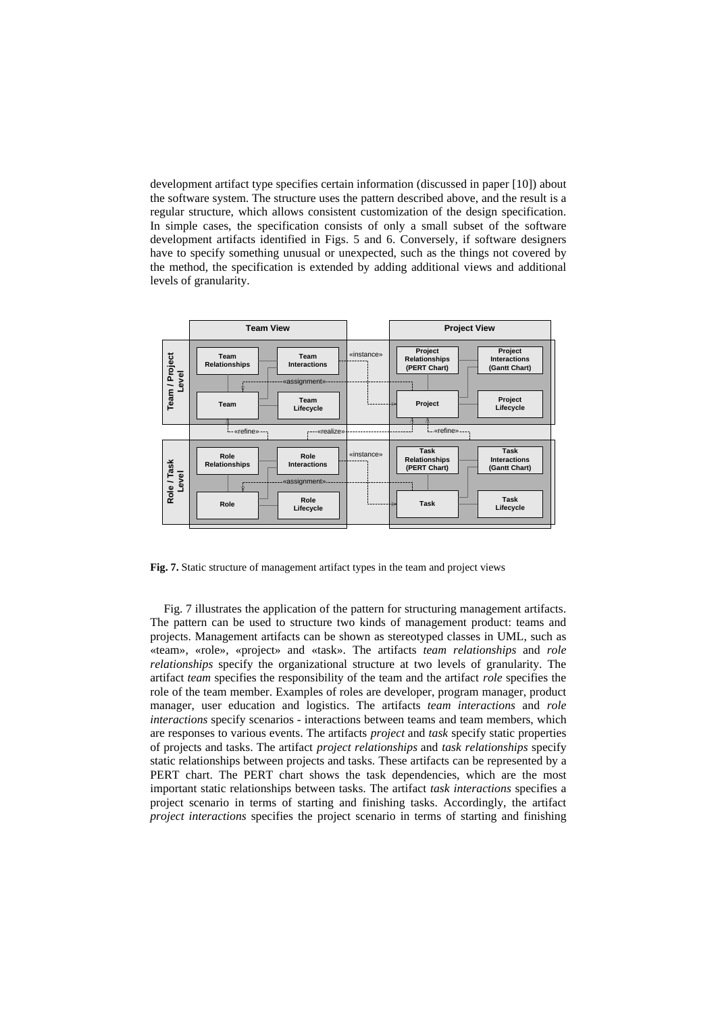development artifact type specifies certain information (discussed in paper [10]) about the software system. The structure uses the pattern described above, and the result is a regular structure, which allows consistent customization of the design specification. In simple cases, the specification consists of only a small subset of the software development artifacts identified in Figs. 5 and 6. Conversely, if software designers have to specify something unusual or unexpected, such as the things not covered by the method, the specification is extended by adding additional views and additional levels of granularity.



**Fig. 7.** Static structure of management artifact types in the team and project views

Fig. 7 illustrates the application of the pattern for structuring management artifacts. The pattern can be used to structure two kinds of management product: teams and projects. Management artifacts can be shown as stereotyped classes in UML, such as «team», «role», «project» and «task». The artifacts *team relationships* and *role relationships* specify the organizational structure at two levels of granularity. The artifact *team* specifies the responsibility of the team and the artifact *role* specifies the role of the team member. Examples of roles are developer, program manager, product manager, user education and logistics. The artifacts *team interactions* and *role interactions* specify scenarios - interactions between teams and team members, which are responses to various events. The artifacts *project* and *task* specify static properties of projects and tasks. The artifact *project relationships* and *task relationships* specify static relationships between projects and tasks. These artifacts can be represented by a PERT chart. The PERT chart shows the task dependencies, which are the most important static relationships between tasks. The artifact *task interactions* specifies a project scenario in terms of starting and finishing tasks. Accordingly, the artifact *project interactions* specifies the project scenario in terms of starting and finishing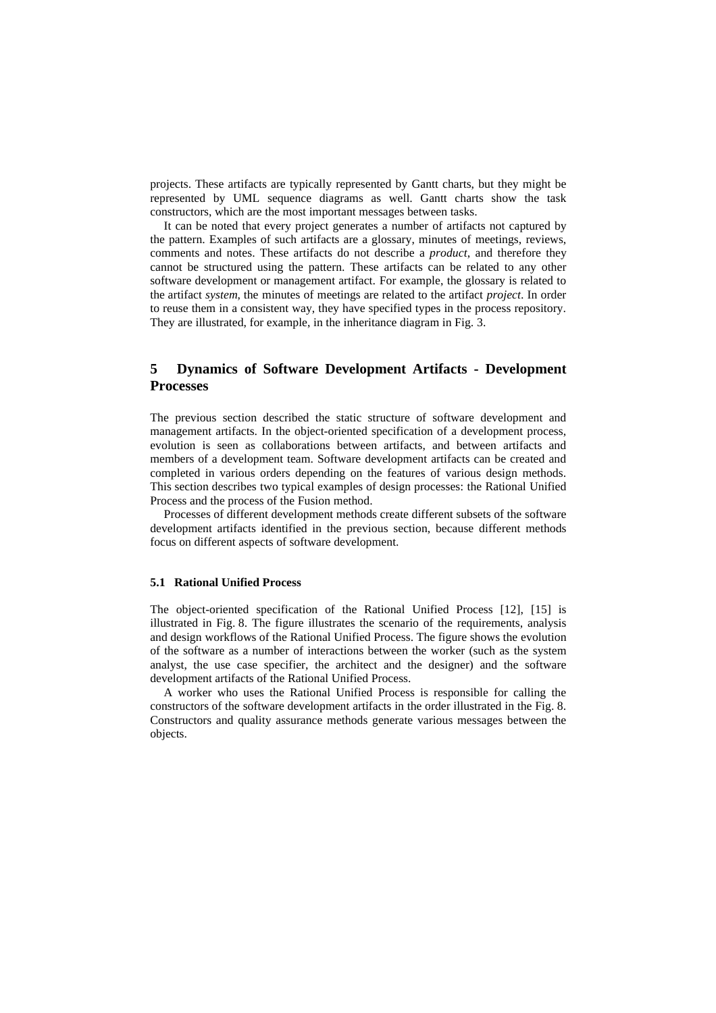projects. These artifacts are typically represented by Gantt charts, but they might be represented by UML sequence diagrams as well. Gantt charts show the task constructors, which are the most important messages between tasks.

It can be noted that every project generates a number of artifacts not captured by the pattern. Examples of such artifacts are a glossary, minutes of meetings, reviews, comments and notes. These artifacts do not describe a *product*, and therefore they cannot be structured using the pattern. These artifacts can be related to any other software development or management artifact. For example, the glossary is related to the artifact *system*, the minutes of meetings are related to the artifact *project*. In order to reuse them in a consistent way, they have specified types in the process repository. They are illustrated, for example, in the inheritance diagram in Fig. 3.

# **5 Dynamics of Software Development Artifacts - Development Processes**

The previous section described the static structure of software development and management artifacts. In the object-oriented specification of a development process, evolution is seen as collaborations between artifacts, and between artifacts and members of a development team. Software development artifacts can be created and completed in various orders depending on the features of various design methods. This section describes two typical examples of design processes: the Rational Unified Process and the process of the Fusion method.

Processes of different development methods create different subsets of the software development artifacts identified in the previous section, because different methods focus on different aspects of software development.

#### **5.1 Rational Unified Process**

The object-oriented specification of the Rational Unified Process [12], [15] is illustrated in Fig. 8. The figure illustrates the scenario of the requirements, analysis and design workflows of the Rational Unified Process. The figure shows the evolution of the software as a number of interactions between the worker (such as the system analyst, the use case specifier, the architect and the designer) and the software development artifacts of the Rational Unified Process.

A worker who uses the Rational Unified Process is responsible for calling the constructors of the software development artifacts in the order illustrated in the Fig. 8. Constructors and quality assurance methods generate various messages between the objects.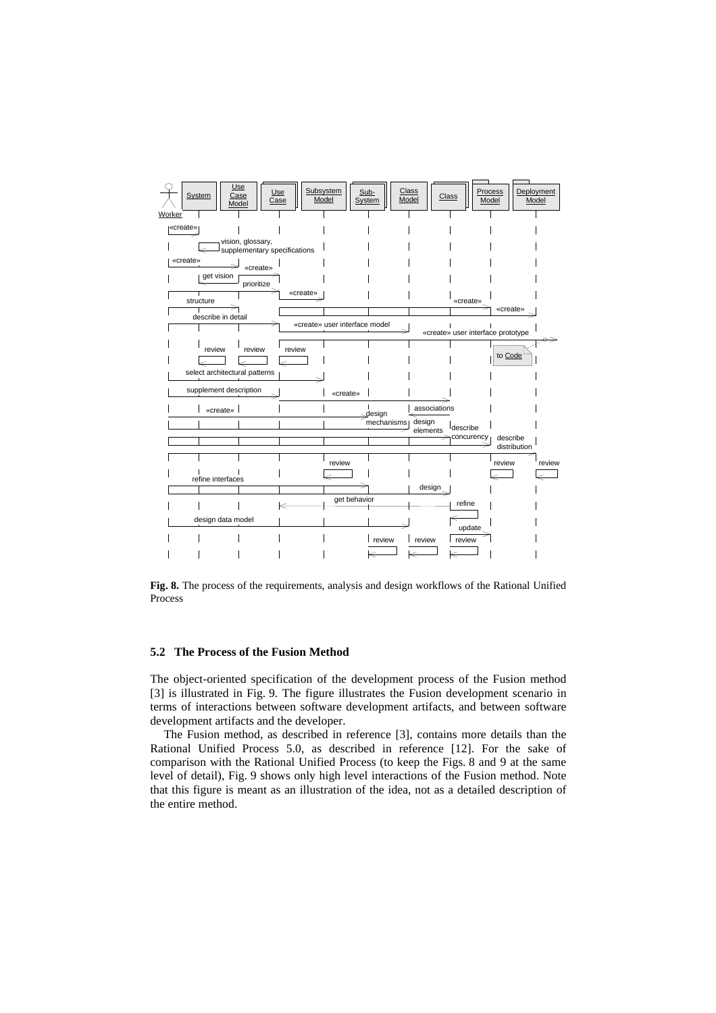

**Fig. 8.** The process of the requirements, analysis and design workflows of the Rational Unified Process

### **5.2 The Process of the Fusion Method**

The object-oriented specification of the development process of the Fusion method [3] is illustrated in Fig. 9. The figure illustrates the Fusion development scenario in terms of interactions between software development artifacts, and between software development artifacts and the developer.

The Fusion method, as described in reference [3], contains more details than the Rational Unified Process 5.0, as described in reference [12]. For the sake of comparison with the Rational Unified Process (to keep the Figs. 8 and 9 at the same level of detail), Fig. 9 shows only high level interactions of the Fusion method. Note that this figure is meant as an illustration of the idea, not as a detailed description of the entire method.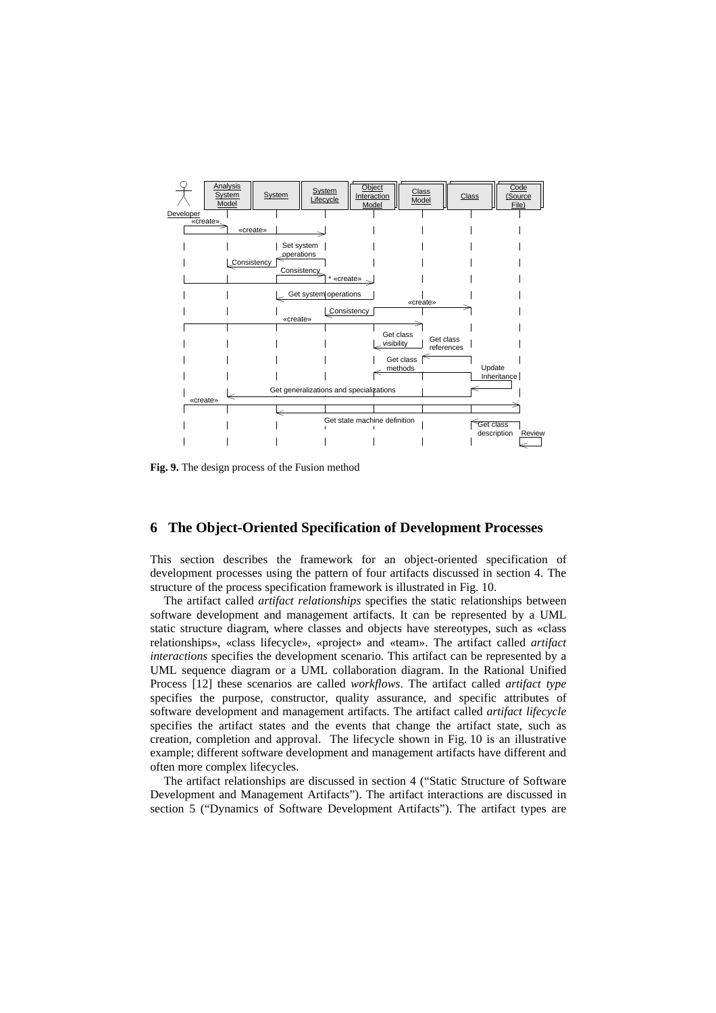

**Fig. 9.** The design process of the Fusion method

## **6 The Object-Oriented Specification of Development Processes**

This section describes the framework for an object-oriented specification of development processes using the pattern of four artifacts discussed in section 4. The structure of the process specification framework is illustrated in Fig. 10.

The artifact called *artifact relationships* specifies the static relationships between software development and management artifacts. It can be represented by a UML static structure diagram, where classes and objects have stereotypes, such as «class relationships», «class lifecycle», «project» and «team». The artifact called *artifact interactions* specifies the development scenario. This artifact can be represented by a UML sequence diagram or a UML collaboration diagram. In the Rational Unified Process [12] these scenarios are called *workflows*. The artifact called *artifact type* specifies the purpose, constructor, quality assurance, and specific attributes of software development and management artifacts. The artifact called *artifact lifecycle* specifies the artifact states and the events that change the artifact state, such as creation, completion and approval. The lifecycle shown in Fig. 10 is an illustrative example; different software development and management artifacts have different and often more complex lifecycles.

The artifact relationships are discussed in section 4 ("Static Structure of Software Development and Management Artifacts"). The artifact interactions are discussed in section 5 ("Dynamics of Software Development Artifacts"). The artifact types are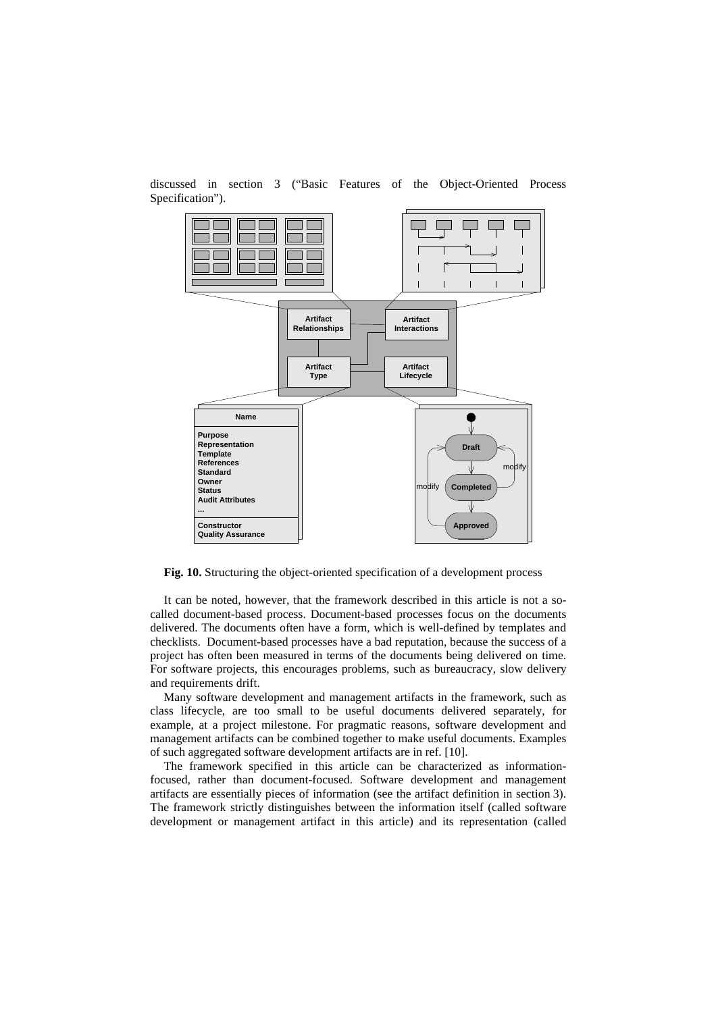discussed in section 3 ("Basic Features of the Object-Oriented Process Specification").



**Fig. 10.** Structuring the object-oriented specification of a development process

It can be noted, however, that the framework described in this article is not a socalled document-based process. Document-based processes focus on the documents delivered. The documents often have a form, which is well-defined by templates and checklists. Document-based processes have a bad reputation, because the success of a project has often been measured in terms of the documents being delivered on time. For software projects, this encourages problems, such as bureaucracy, slow delivery and requirements drift.

Many software development and management artifacts in the framework, such as class lifecycle, are too small to be useful documents delivered separately, for example, at a project milestone. For pragmatic reasons, software development and management artifacts can be combined together to make useful documents. Examples of such aggregated software development artifacts are in ref. [10].

The framework specified in this article can be characterized as informationfocused, rather than document-focused. Software development and management artifacts are essentially pieces of information (see the artifact definition in section 3). The framework strictly distinguishes between the information itself (called software development or management artifact in this article) and its representation (called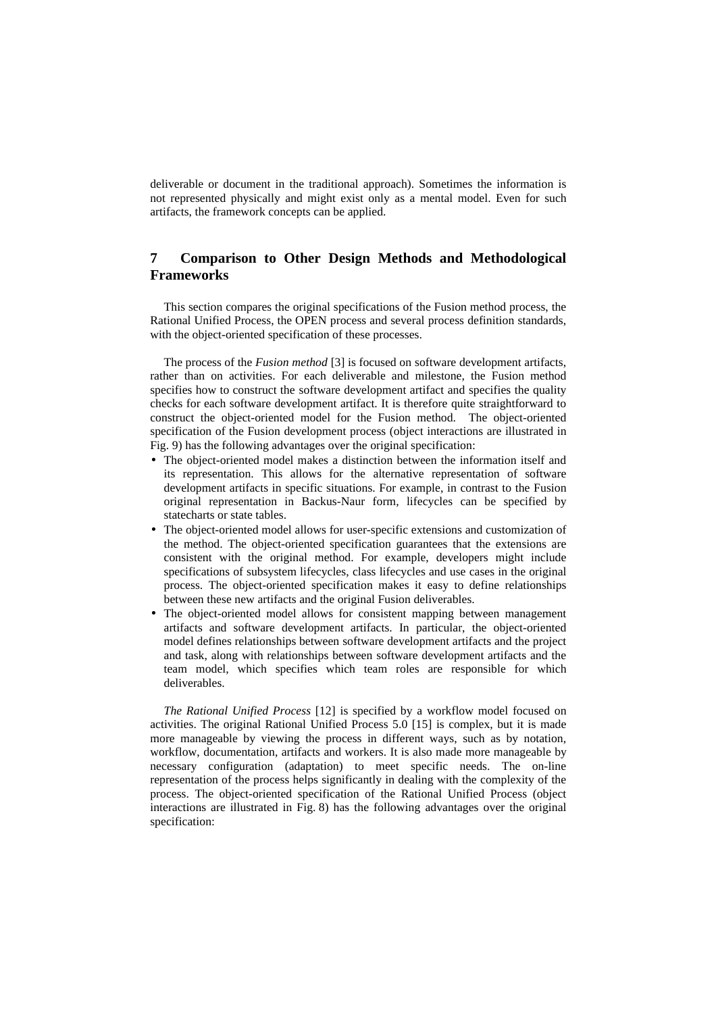deliverable or document in the traditional approach). Sometimes the information is not represented physically and might exist only as a mental model. Even for such artifacts, the framework concepts can be applied.

# **7 Comparison to Other Design Methods and Methodological Frameworks**

This section compares the original specifications of the Fusion method process, the Rational Unified Process, the OPEN process and several process definition standards, with the object-oriented specification of these processes.

The process of the *Fusion method* [3] is focused on software development artifacts, rather than on activities. For each deliverable and milestone, the Fusion method specifies how to construct the software development artifact and specifies the quality checks for each software development artifact. It is therefore quite straightforward to construct the object-oriented model for the Fusion method. The object-oriented specification of the Fusion development process (object interactions are illustrated in Fig. 9) has the following advantages over the original specification:

- The object-oriented model makes a distinction between the information itself and its representation. This allows for the alternative representation of software development artifacts in specific situations. For example, in contrast to the Fusion original representation in Backus-Naur form, lifecycles can be specified by statecharts or state tables.
- The object-oriented model allows for user-specific extensions and customization of the method. The object-oriented specification guarantees that the extensions are consistent with the original method. For example, developers might include specifications of subsystem lifecycles, class lifecycles and use cases in the original process. The object-oriented specification makes it easy to define relationships between these new artifacts and the original Fusion deliverables.
- The object-oriented model allows for consistent mapping between management artifacts and software development artifacts. In particular, the object-oriented model defines relationships between software development artifacts and the project and task, along with relationships between software development artifacts and the team model, which specifies which team roles are responsible for which deliverables.

*The Rational Unified Process* [12] is specified by a workflow model focused on activities. The original Rational Unified Process 5.0 [15] is complex, but it is made more manageable by viewing the process in different ways, such as by notation, workflow, documentation, artifacts and workers. It is also made more manageable by necessary configuration (adaptation) to meet specific needs. The on-line representation of the process helps significantly in dealing with the complexity of the process. The object-oriented specification of the Rational Unified Process (object interactions are illustrated in Fig. 8) has the following advantages over the original specification: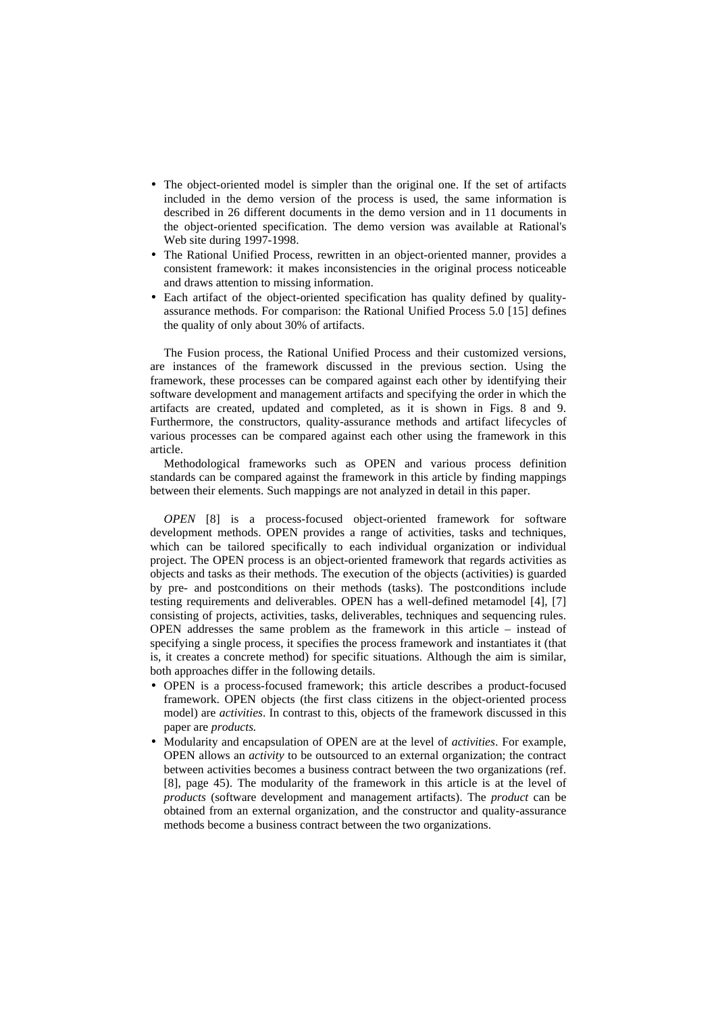- The object-oriented model is simpler than the original one. If the set of artifacts included in the demo version of the process is used, the same information is described in 26 different documents in the demo version and in 11 documents in the object-oriented specification. The demo version was available at Rational's Web site during 1997-1998.
- The Rational Unified Process, rewritten in an object-oriented manner, provides a consistent framework: it makes inconsistencies in the original process noticeable and draws attention to missing information.
- Each artifact of the object-oriented specification has quality defined by qualityassurance methods. For comparison: the Rational Unified Process 5.0 [15] defines the quality of only about 30% of artifacts.

The Fusion process, the Rational Unified Process and their customized versions, are instances of the framework discussed in the previous section. Using the framework, these processes can be compared against each other by identifying their software development and management artifacts and specifying the order in which the artifacts are created, updated and completed, as it is shown in Figs. 8 and 9. Furthermore, the constructors, quality-assurance methods and artifact lifecycles of various processes can be compared against each other using the framework in this article.

Methodological frameworks such as OPEN and various process definition standards can be compared against the framework in this article by finding mappings between their elements. Such mappings are not analyzed in detail in this paper.

*OPEN* [8] is a process-focused object-oriented framework for software development methods. OPEN provides a range of activities, tasks and techniques, which can be tailored specifically to each individual organization or individual project. The OPEN process is an object-oriented framework that regards activities as objects and tasks as their methods. The execution of the objects (activities) is guarded by pre- and postconditions on their methods (tasks). The postconditions include testing requirements and deliverables. OPEN has a well-defined metamodel [4], [7] consisting of projects, activities, tasks, deliverables, techniques and sequencing rules. OPEN addresses the same problem as the framework in this article – instead of specifying a single process, it specifies the process framework and instantiates it (that is, it creates a concrete method) for specific situations. Although the aim is similar, both approaches differ in the following details.

- OPEN is a process-focused framework; this article describes a product-focused framework. OPEN objects (the first class citizens in the object-oriented process model) are *activities*. In contrast to this, objects of the framework discussed in this paper are *products.*
- Modularity and encapsulation of OPEN are at the level of *activities*. For example, OPEN allows an *activity* to be outsourced to an external organization; the contract between activities becomes a business contract between the two organizations (ref. [8], page 45). The modularity of the framework in this article is at the level of *products* (software development and management artifacts). The *product* can be obtained from an external organization, and the constructor and quality-assurance methods become a business contract between the two organizations.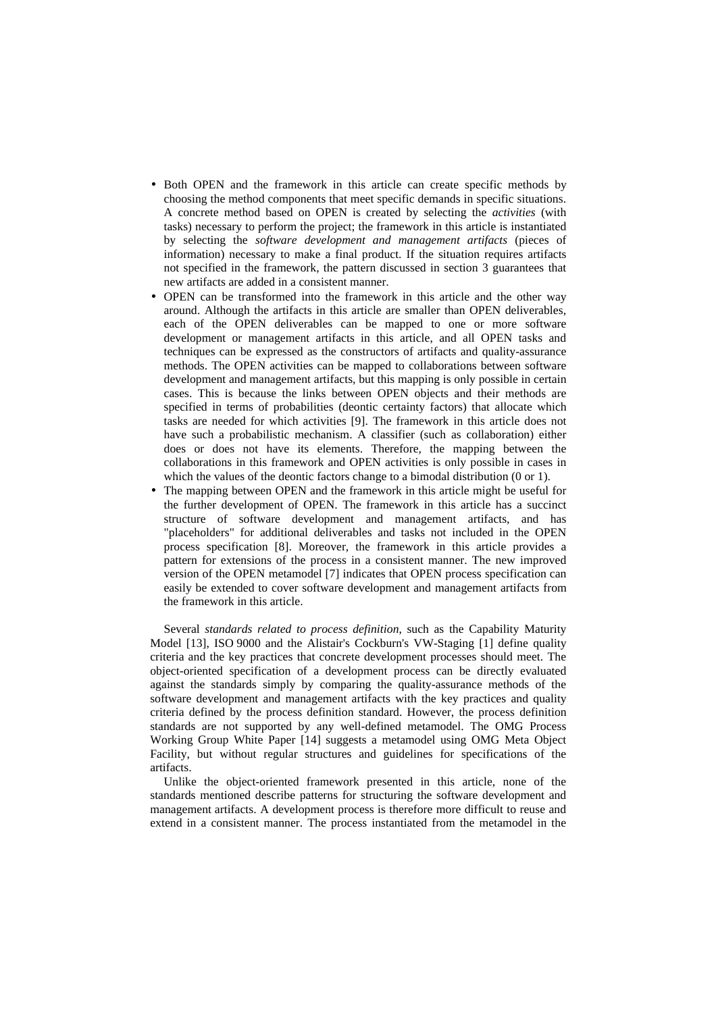- Both OPEN and the framework in this article can create specific methods by choosing the method components that meet specific demands in specific situations. A concrete method based on OPEN is created by selecting the *activities* (with tasks) necessary to perform the project; the framework in this article is instantiated by selecting the *software development and management artifacts* (pieces of information) necessary to make a final product. If the situation requires artifacts not specified in the framework, the pattern discussed in section 3 guarantees that new artifacts are added in a consistent manner.
- OPEN can be transformed into the framework in this article and the other way around. Although the artifacts in this article are smaller than OPEN deliverables, each of the OPEN deliverables can be mapped to one or more software development or management artifacts in this article, and all OPEN tasks and techniques can be expressed as the constructors of artifacts and quality-assurance methods. The OPEN activities can be mapped to collaborations between software development and management artifacts, but this mapping is only possible in certain cases. This is because the links between OPEN objects and their methods are specified in terms of probabilities (deontic certainty factors) that allocate which tasks are needed for which activities [9]. The framework in this article does not have such a probabilistic mechanism. A classifier (such as collaboration) either does or does not have its elements. Therefore, the mapping between the collaborations in this framework and OPEN activities is only possible in cases in which the values of the deontic factors change to a bimodal distribution (0 or 1).
- The mapping between OPEN and the framework in this article might be useful for the further development of OPEN. The framework in this article has a succinct structure of software development and management artifacts, and has "placeholders" for additional deliverables and tasks not included in the OPEN process specification [8]. Moreover, the framework in this article provides a pattern for extensions of the process in a consistent manner. The new improved version of the OPEN metamodel [7] indicates that OPEN process specification can easily be extended to cover software development and management artifacts from the framework in this article.

Several *standards related to process definition*, such as the Capability Maturity Model [13], ISO 9000 and the Alistair's Cockburn's VW-Staging [1] define quality criteria and the key practices that concrete development processes should meet. The object-oriented specification of a development process can be directly evaluated against the standards simply by comparing the quality-assurance methods of the software development and management artifacts with the key practices and quality criteria defined by the process definition standard. However, the process definition standards are not supported by any well-defined metamodel. The OMG Process Working Group White Paper [14] suggests a metamodel using OMG Meta Object Facility, but without regular structures and guidelines for specifications of the artifacts.

Unlike the object-oriented framework presented in this article, none of the standards mentioned describe patterns for structuring the software development and management artifacts. A development process is therefore more difficult to reuse and extend in a consistent manner. The process instantiated from the metamodel in the